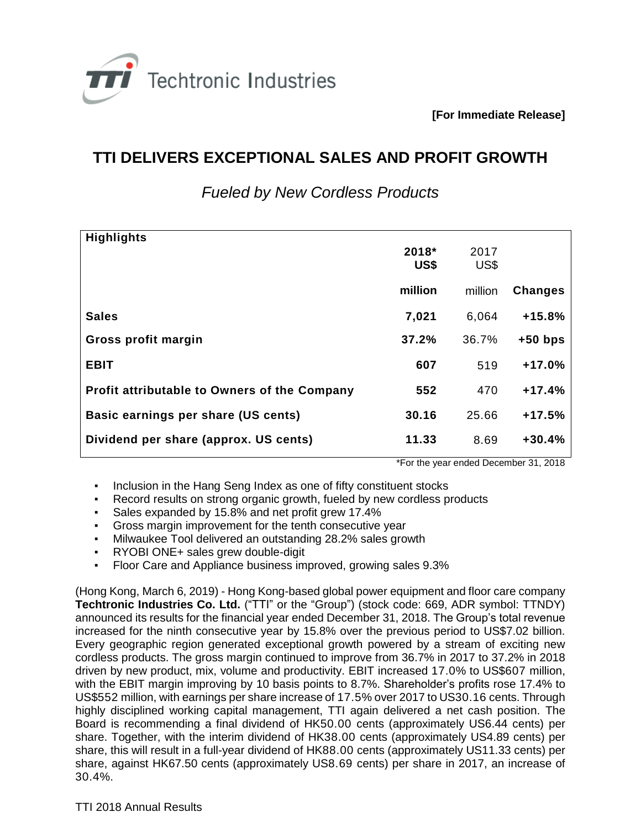

**[For Immediate Release]**

## **TTI DELIVERS EXCEPTIONAL SALES AND PROFIT GROWTH**

| <b>Highlights</b>                                   | 2018*<br>US\$ | 2017<br>US\$ |                |
|-----------------------------------------------------|---------------|--------------|----------------|
|                                                     | million       | million      | <b>Changes</b> |
| <b>Sales</b>                                        | 7,021         | 6,064        | $+15.8%$       |
| Gross profit margin                                 | 37.2%         | 36.7%        | $+50$ bps      |
| <b>EBIT</b>                                         | 607           | 519          | $+17.0%$       |
| <b>Profit attributable to Owners of the Company</b> | 552           | 470          | $+17.4%$       |
| Basic earnings per share (US cents)                 | 30.16         | 25.66        | $+17.5%$       |
| Dividend per share (approx. US cents)               | 11.33         | 8.69         | $+30.4%$       |

*Fueled by New Cordless Products*

\*For the year ended December 31, 2018

- Inclusion in the Hang Seng Index as one of fifty constituent stocks
- Record results on strong organic growth, fueled by new cordless products
- Sales expanded by 15.8% and net profit grew 17.4%
- Gross margin improvement for the tenth consecutive year
- Milwaukee Tool delivered an outstanding 28.2% sales growth
- RYOBI ONE+ sales grew double-digit
- Floor Care and Appliance business improved, growing sales 9.3%

(Hong Kong, March 6, 2019) - Hong Kong-based global power equipment and floor care company **Techtronic Industries Co. Ltd.** ("TTI" or the "Group") (stock code: 669, ADR symbol: TTNDY) announced its results for the financial year ended December 31, 2018. The Group's total revenue increased for the ninth consecutive year by 15.8% over the previous period to US\$7.02 billion. Every geographic region generated exceptional growth powered by a stream of exciting new cordless products. The gross margin continued to improve from 36.7% in 2017 to 37.2% in 2018 driven by new product, mix, volume and productivity. EBIT increased 17.0% to US\$607 million, with the EBIT margin improving by 10 basis points to 8.7%. Shareholder's profits rose 17.4% to US\$552 million, with earnings per share increase of 17.5% over 2017 to US30.16 cents. Through highly disciplined working capital management, TTI again delivered a net cash position. The Board is recommending a final dividend of HK50.00 cents (approximately US6.44 cents) per share. Together, with the interim dividend of HK38.00 cents (approximately US4.89 cents) per share, this will result in a full-year dividend of HK88.00 cents (approximately US11.33 cents) per share, against HK67.50 cents (approximately US8.69 cents) per share in 2017, an increase of 30.4%.

TTI 2018 Annual Results